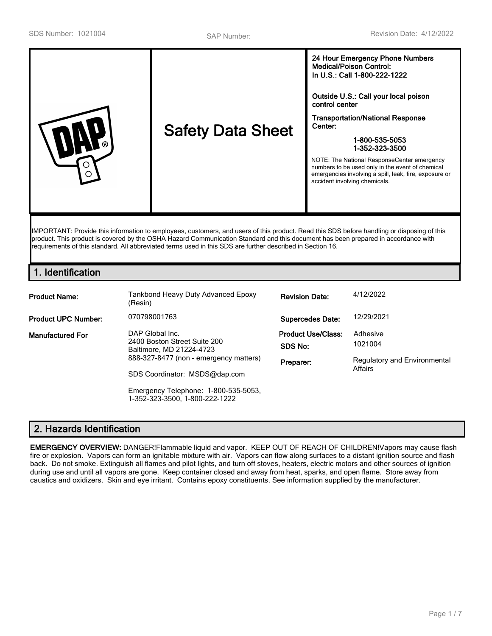|--|

IMPORTANT: Provide this information to employees, customers, and users of this product. Read this SDS before handling or disposing of this product. This product is covered by the OSHA Hazard Communication Standard and this document has been prepared in accordance with requirements of this standard. All abbreviated terms used in this SDS are further described in Section 16.

# **1. Identification**

| <b>Product Name:</b>       | Tankbond Heavy Duty Advanced Epoxy<br>(Resin)                               | <b>Revision Date:</b>                | 4/12/2022                               |
|----------------------------|-----------------------------------------------------------------------------|--------------------------------------|-----------------------------------------|
| <b>Product UPC Number:</b> | 070798001763                                                                | <b>Supercedes Date:</b>              | 12/29/2021                              |
| <b>Manufactured For</b>    | DAP Global Inc.<br>2400 Boston Street Suite 200<br>Baltimore, MD 21224-4723 | <b>Product Use/Class:</b><br>SDS No: | Adhesive<br>1021004                     |
|                            | 888-327-8477 (non - emergency matters)<br>SDS Coordinator: MSDS@dap.com     | Preparer:                            | Regulatory and Environmental<br>Affairs |
|                            | Emergency Telephone: 1-800-535-5053,<br>1-352-323-3500, 1-800-222-1222      |                                      |                                         |

# **2. Hazards Identification**

**EMERGENCY OVERVIEW:** DANGER!Flammable liquid and vapor. KEEP OUT OF REACH OF CHILDREN!Vapors may cause flash fire or explosion. Vapors can form an ignitable mixture with air. Vapors can flow along surfaces to a distant ignition source and flash back. Do not smoke. Extinguish all flames and pilot lights, and turn off stoves, heaters, electric motors and other sources of ignition during use and until all vapors are gone. Keep container closed and away from heat, sparks, and open flame. Store away from caustics and oxidizers. Skin and eye irritant. Contains epoxy constituents. See information supplied by the manufacturer.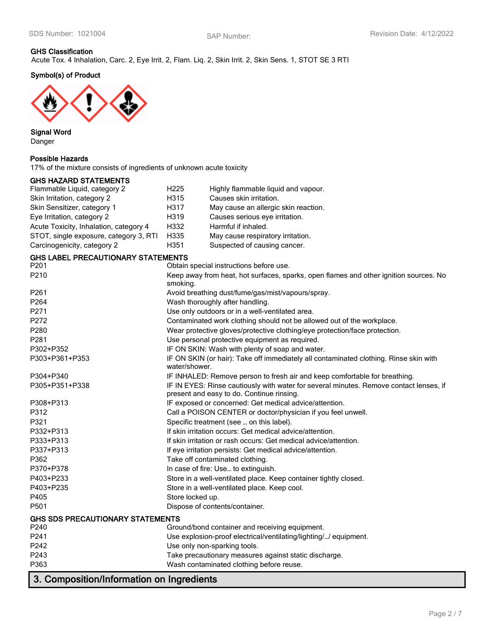# **GHS Classification**

Acute Tox. 4 Inhalation, Carc. 2, Eye Irrit. 2, Flam. Liq. 2, Skin Irrit. 2, Skin Sens. 1, STOT SE 3 RTI

# **Symbol(s) of Product**



### **Signal Word** Danger

### **Possible Hazards**

17% of the mixture consists of ingredients of unknown acute toxicity

### **GHS HAZARD STATEMENTS**

| Flammable Liquid, category 2           | H <sub>225</sub> | Highly flammable liquid and vapour.  |
|----------------------------------------|------------------|--------------------------------------|
| Skin Irritation, category 2            | H315             | Causes skin irritation.              |
| Skin Sensitizer, category 1            | H317             | May cause an allergic skin reaction. |
| Eye Irritation, category 2             | H319             | Causes serious eye irritation.       |
| Acute Toxicity, Inhalation, category 4 | H332             | Harmful if inhaled.                  |
| STOT, single exposure, category 3, RTI | H335             | May cause respiratory irritation.    |
| Carcinogenicity, category 2            | H351             | Suspected of causing cancer.         |

### **GHS LABEL PRECAUTIONARY STATEMENTS**

| P201                                    | Obtain special instructions before use.                                                                                             |
|-----------------------------------------|-------------------------------------------------------------------------------------------------------------------------------------|
| P <sub>210</sub>                        | Keep away from heat, hot surfaces, sparks, open flames and other ignition sources. No<br>smoking.                                   |
| P <sub>261</sub>                        | Avoid breathing dust/fume/gas/mist/vapours/spray.                                                                                   |
| P264                                    | Wash thoroughly after handling.                                                                                                     |
| P271                                    | Use only outdoors or in a well-ventilated area.                                                                                     |
| P272                                    | Contaminated work clothing should not be allowed out of the workplace.                                                              |
| P280                                    | Wear protective gloves/protective clothing/eye protection/face protection.                                                          |
| P <sub>281</sub>                        | Use personal protective equipment as required.                                                                                      |
| P302+P352                               | IF ON SKIN: Wash with plenty of soap and water.                                                                                     |
| P303+P361+P353                          | IF ON SKIN (or hair): Take off immediately all contaminated clothing. Rinse skin with<br>water/shower.                              |
| P304+P340                               | IF INHALED: Remove person to fresh air and keep comfortable for breathing.                                                          |
| P305+P351+P338                          | IF IN EYES: Rinse cautiously with water for several minutes. Remove contact lenses, if<br>present and easy to do. Continue rinsing. |
| P308+P313                               | IF exposed or concerned: Get medical advice/attention.                                                                              |
| P312                                    | Call a POISON CENTER or doctor/physician if you feel unwell.                                                                        |
| P321                                    | Specific treatment (see  on this label).                                                                                            |
| P332+P313                               | If skin irritation occurs: Get medical advice/attention.                                                                            |
| P333+P313                               | If skin irritation or rash occurs: Get medical advice/attention.                                                                    |
| P337+P313                               | If eye irritation persists: Get medical advice/attention.                                                                           |
| P362                                    | Take off contaminated clothing.                                                                                                     |
| P370+P378                               | In case of fire: Use to extinguish.                                                                                                 |
| P403+P233                               | Store in a well-ventilated place. Keep container tightly closed.                                                                    |
| P403+P235                               | Store in a well-ventilated place. Keep cool.                                                                                        |
| P405                                    | Store locked up.                                                                                                                    |
| P <sub>501</sub>                        | Dispose of contents/container.                                                                                                      |
| <b>GHS SDS PRECAUTIONARY STATEMENTS</b> |                                                                                                                                     |
| P240                                    | Ground/bond container and receiving equipment.                                                                                      |
| P241                                    | Use explosion-proof electrical/ventilating/lighting// equipment.                                                                    |
| P242                                    | Use only non-sparking tools.                                                                                                        |
| P243                                    | Take precautionary measures against static discharge.                                                                               |
| P363                                    | Wash contaminated clothing before reuse.                                                                                            |
| $\sim$ $\sim$                           |                                                                                                                                     |

**3. Composition/Information on Ingredients**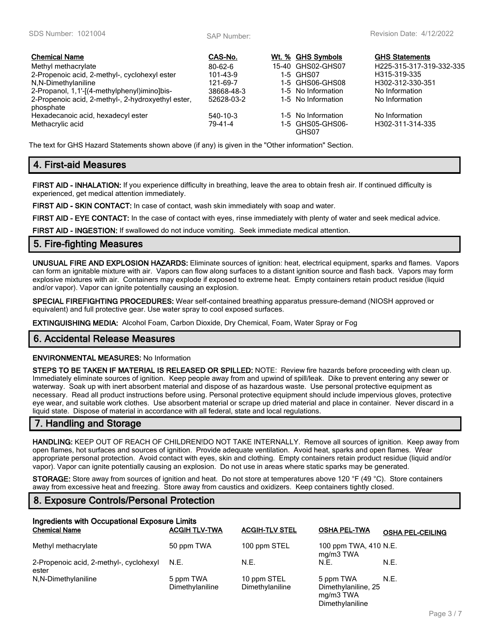| <b>Chemical Name</b>                                            | CAS-No.        | Wt. % GHS Symbols         | <b>GHS Statements</b>    |
|-----------------------------------------------------------------|----------------|---------------------------|--------------------------|
| Methyl methacrylate                                             | $80 - 62 - 6$  | 15-40 GHS02-GHS07         | H225-315-317-319-332-335 |
| 2-Propenoic acid, 2-methyl-, cyclohexyl ester                   | $101 - 43 - 9$ | 1-5 GHS07                 | H315-319-335             |
| N,N-Dimethylaniline                                             | 121-69-7       | 1-5 GHS06-GHS08           | H302-312-330-351         |
| 2-Propanol, 1, 1'-[(4-methylphenyl)imino]bis-                   | 38668-48-3     | 1-5 No Information        | No Information           |
| 2-Propenoic acid, 2-methyl-, 2-hydroxyethyl ester,<br>phosphate | 52628-03-2     | 1-5 No Information        | No Information           |
| Hexadecanoic acid, hexadecyl ester                              | 540-10-3       | 1-5 No Information        | No Information           |
| Methacrylic acid                                                | 79-41-4        | 1-5 GHS05-GHS06-<br>GHS07 | H302-311-314-335         |

The text for GHS Hazard Statements shown above (if any) is given in the "Other information" Section.

### **4. First-aid Measures**

**FIRST AID - INHALATION:** If you experience difficulty in breathing, leave the area to obtain fresh air. If continued difficulty is experienced, get medical attention immediately.

**FIRST AID - SKIN CONTACT:** In case of contact, wash skin immediately with soap and water.

**FIRST AID - EYE CONTACT:** In the case of contact with eyes, rinse immediately with plenty of water and seek medical advice.

**FIRST AID - INGESTION:** If swallowed do not induce vomiting. Seek immediate medical attention.

### **5. Fire-fighting Measures**

**UNUSUAL FIRE AND EXPLOSION HAZARDS:** Eliminate sources of ignition: heat, electrical equipment, sparks and flames. Vapors can form an ignitable mixture with air. Vapors can flow along surfaces to a distant ignition source and flash back. Vapors may form explosive mixtures with air. Containers may explode if exposed to extreme heat. Empty containers retain product residue (liquid and/or vapor). Vapor can ignite potentially causing an explosion.

**SPECIAL FIREFIGHTING PROCEDURES:** Wear self-contained breathing apparatus pressure-demand (NIOSH approved or equivalent) and full protective gear. Use water spray to cool exposed surfaces.

**EXTINGUISHING MEDIA:** Alcohol Foam, Carbon Dioxide, Dry Chemical, Foam, Water Spray or Fog

### **6. Accidental Release Measures**

#### **ENVIRONMENTAL MEASURES:** No Information

**STEPS TO BE TAKEN IF MATERIAL IS RELEASED OR SPILLED:** NOTE: Review fire hazards before proceeding with clean up. Immediately eliminate sources of ignition. Keep people away from and upwind of spill/leak. Dike to prevent entering any sewer or waterway. Soak up with inert absorbent material and dispose of as hazardous waste. Use personal protective equipment as necessary. Read all product instructions before using. Personal protective equipment should include impervious gloves, protective eye wear, and suitable work clothes. Use absorbent material or scrape up dried material and place in container. Never discard in a liquid state. Dispose of material in accordance with all federal, state and local regulations.

## **7. Handling and Storage**

**HANDLING:** KEEP OUT OF REACH OF CHILDREN!DO NOT TAKE INTERNALLY. Remove all sources of ignition. Keep away from open flames, hot surfaces and sources of ignition. Provide adequate ventilation. Avoid heat, sparks and open flames. Wear appropriate personal protection. Avoid contact with eyes, skin and clothing. Empty containers retain product residue (liquid and/or vapor). Vapor can ignite potentially causing an explosion. Do not use in areas where static sparks may be generated.

**STORAGE:** Store away from sources of ignition and heat. Do not store at temperatures above 120 °F (49 °C). Store containers away from excessive heat and freezing. Store away from caustics and oxidizers. Keep containers tightly closed.

# **8. Exposure Controls/Personal Protection**

| Ingredients with Occupational Exposure Limits<br><b>Chemical Name</b> | <b>ACGIH TLV-TWA</b>         | <b>ACGIH-TLV STEL</b>          | <b>OSHA PEL-TWA</b>                           | <b>OSHA PEL-CEILING</b> |
|-----------------------------------------------------------------------|------------------------------|--------------------------------|-----------------------------------------------|-------------------------|
| Methyl methacrylate                                                   | 50 ppm TWA                   | 100 ppm STEL                   | 100 ppm TWA, 410 N.E.<br>mg/m3 TWA            |                         |
| 2-Propenoic acid, 2-methyl-, cyclohexyl<br>ester                      | N.E.                         | N.E.                           | N.E.                                          | N.E.                    |
| N,N-Dimethylaniline                                                   | 5 ppm TWA<br>Dimethylaniline | 10 ppm STEL<br>Dimethylaniline | 5 ppm TWA<br>Dimethylaniline, 25<br>mg/m3 TWA | N.E.                    |

Dimethylaniline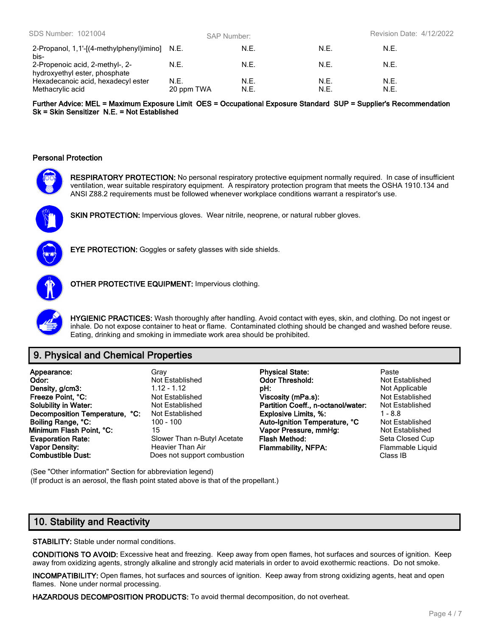| SDS Number: 1021004                                              |                    | <b>SAP Number:</b> |              | <b>Revision Date: 4/12/2022</b> |  |
|------------------------------------------------------------------|--------------------|--------------------|--------------|---------------------------------|--|
| 2-Propanol, 1, 1'-[(4-methylphenyl)imino] N.E.<br>bis-           |                    | N.E.               | N.E.         | N.E.                            |  |
| 2-Propenoic acid, 2-methyl-, 2-<br>hydroxyethyl ester, phosphate | N.E.               | N.E.               | N.F.         | N.E.                            |  |
| Hexadecanoic acid, hexadecyl ester<br>Methacrylic acid           | N.E.<br>20 ppm TWA | N.E.<br>N.E.       | N.E.<br>N.E. | N.E.<br>N.E.                    |  |

**Further Advice: MEL = Maximum Exposure Limit OES = Occupational Exposure Standard SUP = Supplier's Recommendation Sk = Skin Sensitizer N.E. = Not Established**

#### **Personal Protection**

**RESPIRATORY PROTECTION:** No personal respiratory protective equipment normally required. In case of insufficient ventilation, wear suitable respiratory equipment. A respiratory protection program that meets the OSHA 1910.134 and ANSI Z88.2 requirements must be followed whenever workplace conditions warrant a respirator's use.



SKIN PROTECTION: Impervious gloves. Wear nitrile, neoprene, or natural rubber gloves.



**EYE PROTECTION:** Goggles or safety glasses with side shields.



**OTHER PROTECTIVE EQUIPMENT:** Impervious clothing.



**HYGIENIC PRACTICES:** Wash thoroughly after handling. Avoid contact with eyes, skin, and clothing. Do not ingest or inhale. Do not expose container to heat or flame. Contaminated clothing should be changed and washed before reuse. Eating, drinking and smoking in immediate work area should be prohibited.

# **9. Physical and Chemical Properties**

| Appearance:<br>Odor:<br>Density, g/cm3:<br>Freeze Point, °C:<br><b>Solubility in Water:</b><br>Decomposition Temperature, °C:<br>Boiling Range, °C:<br>Minimum Flash Point, °C:<br><b>Evaporation Rate:</b> | Grav<br>Not Established<br>$1.12 - 1.12$<br>Not Established<br>Not Established<br>Not Established<br>$100 - 100$<br>15<br>Slower Than n-Butyl Acetate<br>Heavier Than Air | <b>Physical State:</b><br><b>Odor Threshold:</b><br>DH:<br>Viscosity (mPa.s):<br>Partition Coeff., n-octanol/water:<br><b>Explosive Limits, %:</b><br>Auto-Ignition Temperature, °C<br>Vapor Pressure, mmHg:<br>Flash Method:<br><b>Flammability, NFPA:</b> | Paste<br>Not Established<br>Not Applicable<br>Not Established<br>Not Established<br>$1 - 8.8$<br>Not Established<br>Not Established<br>Seta Closed Cup<br>Flammable Liquid |
|-------------------------------------------------------------------------------------------------------------------------------------------------------------------------------------------------------------|---------------------------------------------------------------------------------------------------------------------------------------------------------------------------|-------------------------------------------------------------------------------------------------------------------------------------------------------------------------------------------------------------------------------------------------------------|----------------------------------------------------------------------------------------------------------------------------------------------------------------------------|
| <b>Vapor Density:</b><br><b>Combustible Dust:</b>                                                                                                                                                           | Does not support combustion                                                                                                                                               |                                                                                                                                                                                                                                                             | Class IB                                                                                                                                                                   |

(See "Other information" Section for abbreviation legend) (If product is an aerosol, the flash point stated above is that of the propellant.)

### **10. Stability and Reactivity**

**STABILITY:** Stable under normal conditions.

**CONDITIONS TO AVOID:** Excessive heat and freezing. Keep away from open flames, hot surfaces and sources of ignition. Keep away from oxidizing agents, strongly alkaline and strongly acid materials in order to avoid exothermic reactions. Do not smoke.

**INCOMPATIBILITY:** Open flames, hot surfaces and sources of ignition. Keep away from strong oxidizing agents, heat and open flames. None under normal processing.

**HAZARDOUS DECOMPOSITION PRODUCTS:** To avoid thermal decomposition, do not overheat.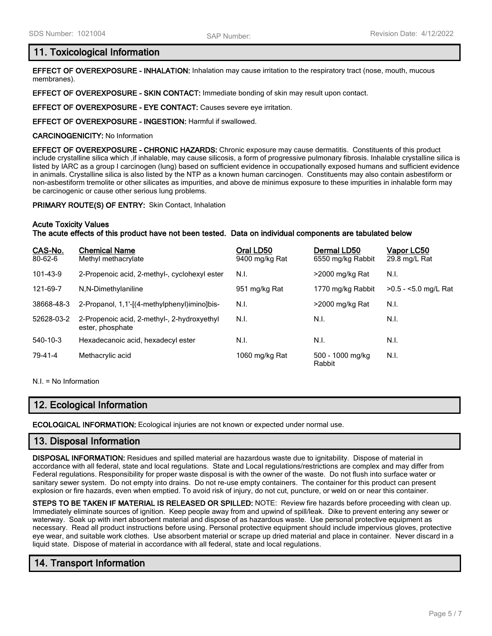### **11. Toxicological Information**

**EFFECT OF OVEREXPOSURE - INHALATION:** Inhalation may cause irritation to the respiratory tract (nose, mouth, mucous membranes).

**EFFECT OF OVEREXPOSURE - SKIN CONTACT:** Immediate bonding of skin may result upon contact.

**EFFECT OF OVEREXPOSURE - EYE CONTACT:** Causes severe eye irritation.

**EFFECT OF OVEREXPOSURE - INGESTION:** Harmful if swallowed.

**CARCINOGENICITY:** No Information

**EFFECT OF OVEREXPOSURE - CHRONIC HAZARDS:** Chronic exposure may cause dermatitis. Constituents of this product include crystalline silica which ,if inhalable, may cause silicosis, a form of progressive pulmonary fibrosis. Inhalable crystalline silica is listed by IARC as a group I carcinogen (lung) based on sufficient evidence in occupationally exposed humans and sufficient evidence in animals. Crystalline silica is also listed by the NTP as a known human carcinogen. Constituents may also contain asbestiform or non-asbestiform tremolite or other silicates as impurities, and above de minimus exposure to these impurities in inhalable form may be carcinogenic or cause other serious lung problems.

**PRIMARY ROUTE(S) OF ENTRY:** Skin Contact, Inhalation

#### **Acute Toxicity Values**

**The acute effects of this product have not been tested. Data on individual components are tabulated below**

| CAS-No.<br>80-62-6 | <b>Chemical Name</b><br>Methyl methacrylate                     | Oral LD50<br>9400 mg/kg Rat | Dermal LD50<br>6550 mg/kg Rabbit | Vapor LC50<br>29.8 mg/L Rat |
|--------------------|-----------------------------------------------------------------|-----------------------------|----------------------------------|-----------------------------|
| 101-43-9           | 2-Propenoic acid, 2-methyl-, cyclohexyl ester                   | N.I.                        | >2000 mg/kg Rat                  | N.I.                        |
| 121-69-7           | N,N-Dimethylaniline                                             | 951 mg/kg Rat               | 1770 mg/kg Rabbit                | >0.5 - <5.0 mg/L Rat        |
| 38668-48-3         | 2-Propanol, 1, 1'-[(4-methylphenyl)imino]bis-                   | N.I.                        | >2000 mg/kg Rat                  | N.I.                        |
| 52628-03-2         | 2-Propenoic acid, 2-methyl-, 2-hydroxyethyl<br>ester, phosphate | N.I.                        | N.I.                             | N.I.                        |
| 540-10-3           | Hexadecanoic acid, hexadecyl ester                              | N.I.                        | N.I.                             | N.I.                        |
| 79-41-4            | Methacrylic acid                                                | 1060 mg/kg Rat              | 500 - 1000 mg/kg<br>Rabbit       | N.I.                        |

N.I. = No Information

# **12. Ecological Information**

**ECOLOGICAL INFORMATION:** Ecological injuries are not known or expected under normal use.

### **13. Disposal Information**

**DISPOSAL INFORMATION:** Residues and spilled material are hazardous waste due to ignitability. Dispose of material in accordance with all federal, state and local regulations. State and Local regulations/restrictions are complex and may differ from Federal regulations. Responsibility for proper waste disposal is with the owner of the waste. Do not flush into surface water or sanitary sewer system. Do not empty into drains. Do not re-use empty containers. The container for this product can present explosion or fire hazards, even when emptied. To avoid risk of injury, do not cut, puncture, or weld on or near this container.

**STEPS TO BE TAKEN IF MATERIAL IS RELEASED OR SPILLED:** NOTE: Review fire hazards before proceeding with clean up. Immediately eliminate sources of ignition. Keep people away from and upwind of spill/leak. Dike to prevent entering any sewer or waterway. Soak up with inert absorbent material and dispose of as hazardous waste. Use personal protective equipment as necessary. Read all product instructions before using. Personal protective equipment should include impervious gloves, protective eye wear, and suitable work clothes. Use absorbent material or scrape up dried material and place in container. Never discard in a liquid state. Dispose of material in accordance with all federal, state and local regulations.

# **14. Transport Information**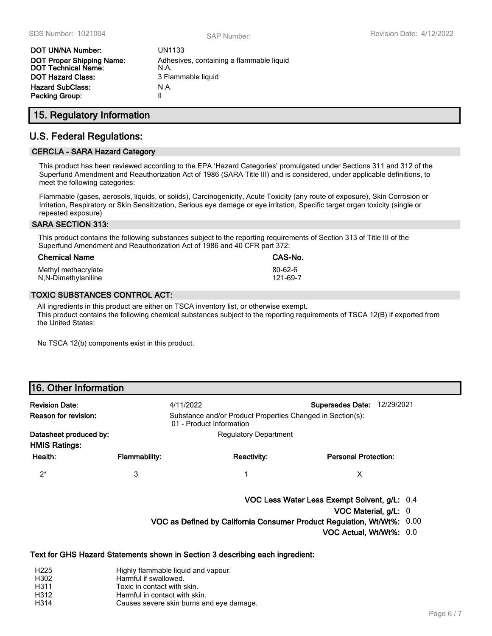| DOT UN/NA Number:                | UN1133                                   |
|----------------------------------|------------------------------------------|
| <b>DOT Proper Shipping Name:</b> | Adhesives, containing a flammable liquid |
| DOT Technical Name:              | N.A.                                     |
| DOT Hazard Class:                | 3 Flammable liquid                       |
| Hazard SubClass:                 | N.A.                                     |
| Packing Group:                   | Ш                                        |

## **15. Regulatory Information**

# **U.S. Federal Regulations:**

### **CERCLA - SARA Hazard Category**

This product has been reviewed according to the EPA 'Hazard Categories' promulgated under Sections 311 and 312 of the Superfund Amendment and Reauthorization Act of 1986 (SARA Title III) and is considered, under applicable definitions, to meet the following categories:

Flammable (gases, aerosols, liquids, or solids), Carcinogenicity, Acute Toxicity (any route of exposure), Skin Corrosion or Irritation, Respiratory or Skin Sensitization, Serious eye damage or eye irritation, Specific target organ toxicity (single or repeated exposure)

#### **SARA SECTION 313:**

This product contains the following substances subject to the reporting requirements of Section 313 of Title III of the Superfund Amendment and Reauthorization Act of 1986 and 40 CFR part 372:

| <b>Chemical Name</b> | CAS-No.       |
|----------------------|---------------|
| Methyl methacrylate  | $80 - 62 - 6$ |
| N, N-Dimethylaniline | 121-69-7      |

#### **TOXIC SUBSTANCES CONTROL ACT:**

All ingredients in this product are either on TSCA inventory list, or otherwise exempt. This product contains the following chemical substances subject to the reporting requirements of TSCA 12(B) if exported from the United States:

No TSCA 12(b) components exist in this product.

### **16. Other Information**

| <b>Revision Date:</b>                          | 4/11/2022            |                                                                                        | <b>Supersedes Date: 12/29/2021</b>                                     |
|------------------------------------------------|----------------------|----------------------------------------------------------------------------------------|------------------------------------------------------------------------|
| Reason for revision:                           |                      | Substance and/or Product Properties Changed in Section(s):<br>01 - Product Information |                                                                        |
| Datasheet produced by:<br><b>HMIS Ratings:</b> |                      | <b>Regulatory Department</b>                                                           |                                                                        |
| Health:                                        | <b>Flammability:</b> | Reactivity:                                                                            | <b>Personal Protection:</b>                                            |
| $2^*$                                          | 3                    |                                                                                        | X                                                                      |
|                                                |                      |                                                                                        | VOC Less Water Less Exempt Solvent, g/L: 0.4                           |
|                                                |                      |                                                                                        | VOC Material, g/L: 0                                                   |
|                                                |                      |                                                                                        | VOC as Defined by California Consumer Product Regulation, Wt/Wt%: 0.00 |

**VOC Actual, Wt/Wt%:** 0.0

#### **Text for GHS Hazard Statements shown in Section 3 describing each ingredient:**

- H225 Highly flammable liquid and vapour.
- H302 Harmful if swallowed.
- H311 Toxic in contact with skin.
- H312 Harmful in contact with skin.
- H314 Causes severe skin burns and eye damage.